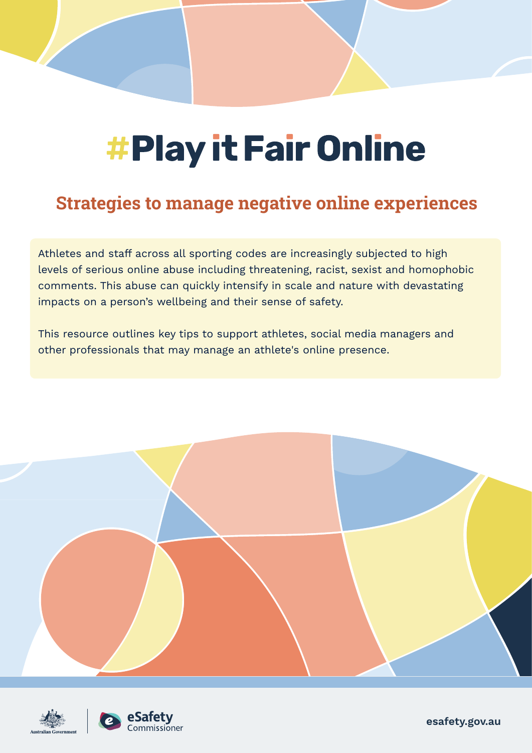# #Play it Fair Online

# **Strategies to manage negative online experiences**

Athletes and staff across all sporting codes are increasingly subjected to high levels of serious online abuse including threatening, racist, sexist and homophobic comments. This abuse can quickly intensify in scale and nature with devastating impacts on a person's wellbeing and their sense of safety.

This resource outlines key tips to support athletes, social media managers and other professionals that may manage an athlete's online presence.







**esafety.gov.au**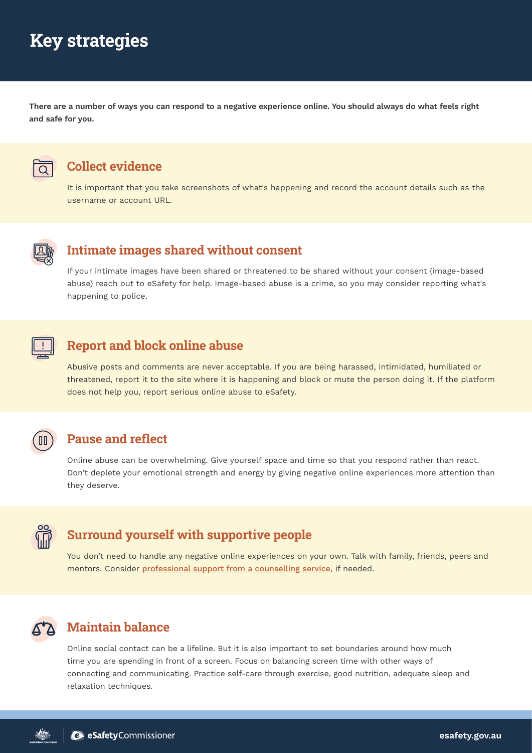# **Key strategies**

**There are a number of ways you can respond to a negative experience online. You should always do what feels right and safe for you.**



#### **Collect evidence**

It is important that you take screenshots of what's happening and record the account details such as the username or account URL.



#### **Intimate images shared without consent**

If your intimate images have been shared or threatened to be shared without your consent (image-based abuse) reach out to eSafety for help. Image-based abuse is a crime, so you may consider reporting what's happening to police.



#### **Report and block online abuse**

Abusive posts and comments are never acceptable. If you are being harassed, intimidated, humiliated or threatened, report it to the site where it is happening and block or mute the person doing it. If the platform does not help you, report serious online abuse to eSafety.



#### **Pause and reflect**

Online abuse can be overwhelming. Give yourself space and time so that you respond rather than react. Don't deplete your emotional strength and energy by giving negative online experiences more attention than they deserve.



#### **Surround yourself with supportive people**

You don't need to handle any negative online experiences on your own. Talk with family, friends, peers and mentors. Consider [professional support from a counselling service]( https://www.esafety.gov.au/about-us/counselling-support-services), if needed.

### **Maintain balance**

Online social contact can be a lifeline. But it is also important to set boundaries around how much time you are spending in front of a screen. Focus on balancing screen time with other ways of connecting and communicating. Practice self-care through exercise, good nutrition, adequate sleep and relaxation techniques.